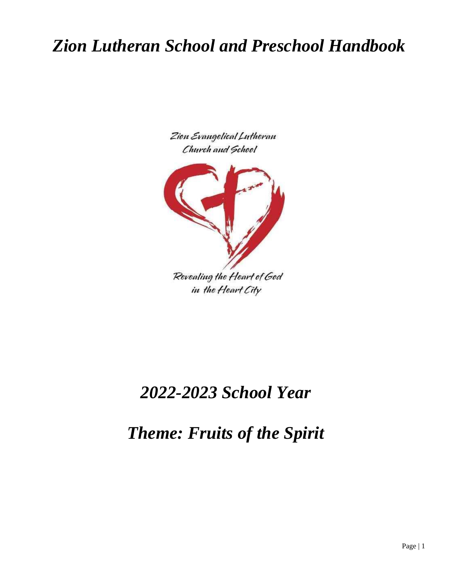# *Zion Lutheran School and Preschool Handbook*





Revealing the Heart of God in the Heart City

# *2022-2023 School Year*

*Theme: Fruits of the Spirit*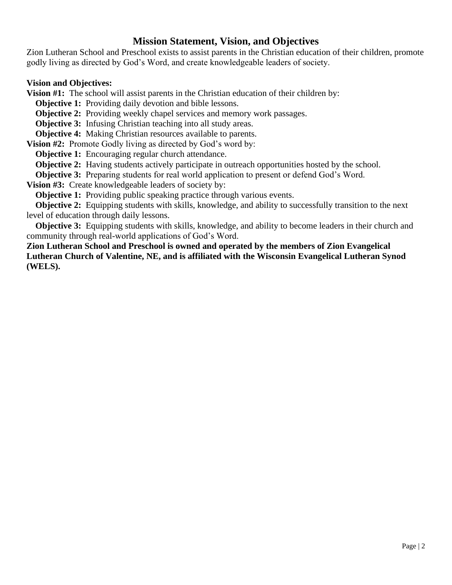#### **Mission Statement, Vision, and Objectives**

Zion Lutheran School and Preschool exists to assist parents in the Christian education of their children, promote godly living as directed by God's Word, and create knowledgeable leaders of society.

#### **Vision and Objectives:**

**Vision #1:** The school will assist parents in the Christian education of their children by:

**Objective 1:** Providing daily devotion and bible lessons.

**Objective 2:** Providing weekly chapel services and memory work passages.

**Objective 3:** Infusing Christian teaching into all study areas.

**Objective 4:** Making Christian resources available to parents.

**Vision #2:** Promote Godly living as directed by God's word by:

**Objective 1:** Encouraging regular church attendance.

**Objective 2:** Having students actively participate in outreach opportunities hosted by the school.

**Objective 3:** Preparing students for real world application to present or defend God's Word.

**Vision #3:** Create knowledgeable leaders of society by:

**Objective 1:** Providing public speaking practice through various events.

**Objective 2:** Equipping students with skills, knowledge, and ability to successfully transition to the next level of education through daily lessons.

**Objective 3:** Equipping students with skills, knowledge, and ability to become leaders in their church and community through real-world applications of God's Word.

**Zion Lutheran School and Preschool is owned and operated by the members of Zion Evangelical Lutheran Church of Valentine, NE, and is affiliated with the Wisconsin Evangelical Lutheran Synod (WELS).**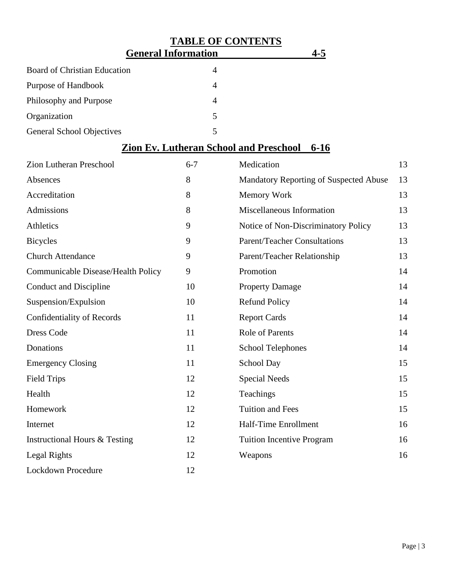## **TABLE OF CONTENTS General Information 4-5** Board of Christian Education 4 Purpose of Handbook 4 Philosophy and Purpose 4 Organization 5 General School Objectives 5

### **Zion Ev. Lutheran School and Preschool 6-16**

| Zion Lutheran Preschool                  | $6 - 7$ | Medication                             | 13 |
|------------------------------------------|---------|----------------------------------------|----|
| Absences                                 | 8       | Mandatory Reporting of Suspected Abuse | 13 |
| Accreditation                            | 8       | Memory Work                            | 13 |
| Admissions                               | 8       | Miscellaneous Information              | 13 |
| Athletics                                | 9       | Notice of Non-Discriminatory Policy    | 13 |
| <b>Bicycles</b>                          | 9       | <b>Parent/Teacher Consultations</b>    | 13 |
| <b>Church Attendance</b>                 | 9       | Parent/Teacher Relationship            | 13 |
| Communicable Disease/Health Policy       | 9       | Promotion                              | 14 |
| <b>Conduct and Discipline</b>            | 10      | <b>Property Damage</b>                 | 14 |
| Suspension/Expulsion                     | 10      | <b>Refund Policy</b>                   | 14 |
| Confidentiality of Records               | 11      | <b>Report Cards</b>                    | 14 |
| <b>Dress Code</b>                        | 11      | <b>Role of Parents</b>                 | 14 |
| Donations                                | 11      | <b>School Telephones</b>               | 14 |
| <b>Emergency Closing</b>                 | 11      | School Day                             | 15 |
| <b>Field Trips</b>                       | 12      | <b>Special Needs</b>                   | 15 |
| Health                                   | 12      | Teachings                              | 15 |
| Homework                                 | 12      | <b>Tuition and Fees</b>                | 15 |
| Internet                                 | 12      | Half-Time Enrollment                   | 16 |
| <b>Instructional Hours &amp; Testing</b> | 12      | <b>Tuition Incentive Program</b>       | 16 |
| Legal Rights                             | 12      | Weapons                                | 16 |
| <b>Lockdown Procedure</b>                | 12      |                                        |    |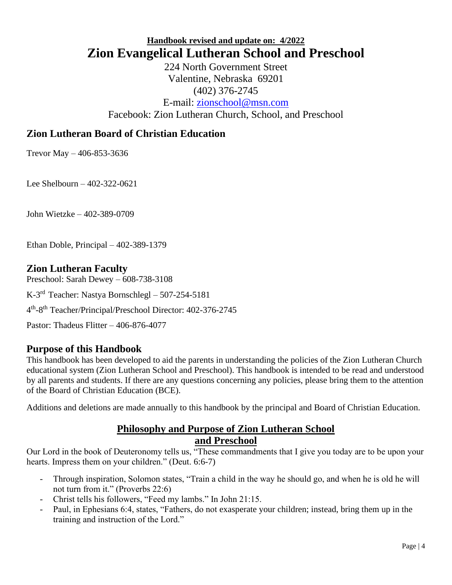### **Handbook revised and update on: 4/2022 Zion Evangelical Lutheran School and Preschool**

224 North Government Street Valentine, Nebraska 69201 (402) 376-2745 E-mail: [zionschool@msn.com](mailto:zionschool@msn.com) Facebook: Zion Lutheran Church, School, and Preschool

### **Zion Lutheran Board of Christian Education**

Trevor May – 406-853-3636

Lee Shelbourn – 402-322-0621

John Wietzke – 402-389-0709

Ethan Doble, Principal – 402-389-1379

#### **Zion Lutheran Faculty**

Preschool: Sarah Dewey – 608-738-3108 K-3 rd Teacher: Nastya Bornschlegl – 507-254-5181 4 th -8 th Teacher/Principal/Preschool Director: 402-376-2745

Pastor: Thadeus Flitter – 406-876-4077

### **Purpose of this Handbook**

This handbook has been developed to aid the parents in understanding the policies of the Zion Lutheran Church educational system (Zion Lutheran School and Preschool). This handbook is intended to be read and understood by all parents and students. If there are any questions concerning any policies, please bring them to the attention of the Board of Christian Education (BCE).

Additions and deletions are made annually to this handbook by the principal and Board of Christian Education.

#### **Philosophy and Purpose of Zion Lutheran School and Preschool**

Our Lord in the book of Deuteronomy tells us, "These commandments that I give you today are to be upon your hearts. Impress them on your children." (Deut. 6:6-7)

- Through inspiration, Solomon states, "Train a child in the way he should go, and when he is old he will not turn from it." (Proverbs 22:6)
- Christ tells his followers, "Feed my lambs." In John 21:15.
- Paul, in Ephesians 6:4, states, "Fathers, do not exasperate your children; instead, bring them up in the training and instruction of the Lord."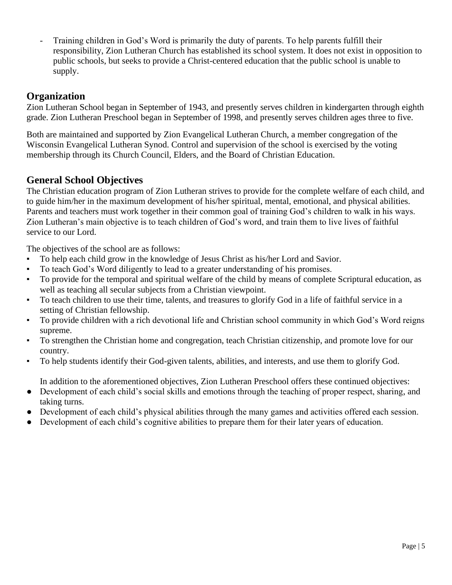Training children in God's Word is primarily the duty of parents. To help parents fulfill their responsibility, Zion Lutheran Church has established its school system. It does not exist in opposition to public schools, but seeks to provide a Christ-centered education that the public school is unable to supply.

### **Organization**

Zion Lutheran School began in September of 1943, and presently serves children in kindergarten through eighth grade. Zion Lutheran Preschool began in September of 1998, and presently serves children ages three to five.

Both are maintained and supported by Zion Evangelical Lutheran Church, a member congregation of the Wisconsin Evangelical Lutheran Synod. Control and supervision of the school is exercised by the voting membership through its Church Council, Elders, and the Board of Christian Education.

### **General School Objectives**

The Christian education program of Zion Lutheran strives to provide for the complete welfare of each child, and to guide him/her in the maximum development of his/her spiritual, mental, emotional, and physical abilities. Parents and teachers must work together in their common goal of training God's children to walk in his ways. Zion Lutheran's main objective is to teach children of God's word, and train them to live lives of faithful service to our Lord.

The objectives of the school are as follows:

- To help each child grow in the knowledge of Jesus Christ as his/her Lord and Savior.
- To teach God's Word diligently to lead to a greater understanding of his promises.
- To provide for the temporal and spiritual welfare of the child by means of complete Scriptural education, as well as teaching all secular subjects from a Christian viewpoint.
- To teach children to use their time, talents, and treasures to glorify God in a life of faithful service in a setting of Christian fellowship.
- To provide children with a rich devotional life and Christian school community in which God's Word reigns supreme.
- To strengthen the Christian home and congregation, teach Christian citizenship, and promote love for our country.
- To help students identify their God-given talents, abilities, and interests, and use them to glorify God.

In addition to the aforementioned objectives, Zion Lutheran Preschool offers these continued objectives:

- Development of each child's social skills and emotions through the teaching of proper respect, sharing, and taking turns.
- Development of each child's physical abilities through the many games and activities offered each session.
- Development of each child's cognitive abilities to prepare them for their later years of education.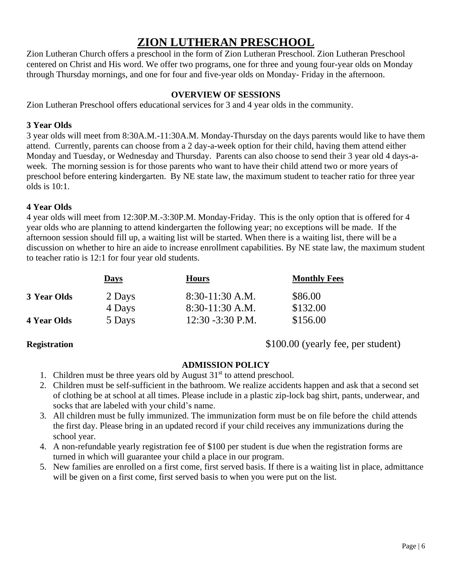### **ZION LUTHERAN PRESCHOOL**

Zion Lutheran Church offers a preschool in the form of Zion Lutheran Preschool. Zion Lutheran Preschool centered on Christ and His word. We offer two programs, one for three and young four-year olds on Monday through Thursday mornings, and one for four and five-year olds on Monday- Friday in the afternoon.

#### **OVERVIEW OF SESSIONS**

Zion Lutheran Preschool offers educational services for 3 and 4 year olds in the community.

#### **3 Year Olds**

3 year olds will meet from 8:30A.M.-11:30A.M. Monday-Thursday on the days parents would like to have them attend. Currently, parents can choose from a 2 day-a-week option for their child, having them attend either Monday and Tuesday, or Wednesday and Thursday. Parents can also choose to send their 3 year old 4 days-aweek. The morning session is for those parents who want to have their child attend two or more years of preschool before entering kindergarten. By NE state law, the maximum student to teacher ratio for three year olds is 10:1.

#### **4 Year Olds**

4 year olds will meet from 12:30P.M.-3:30P.M. Monday-Friday. This is the only option that is offered for 4 year olds who are planning to attend kindergarten the following year; no exceptions will be made. If the afternoon session should fill up, a waiting list will be started. When there is a waiting list, there will be a discussion on whether to hire an aide to increase enrollment capabilities. By NE state law, the maximum student to teacher ratio is 12:1 for four year old students.

|                    | <b>Days</b> | <b>Hours</b>        | <b>Monthly Fees</b> |
|--------------------|-------------|---------------------|---------------------|
| 3 Year Olds        | 2 Days      | $8:30-11:30$ A.M.   | \$86.00             |
|                    | 4 Days      | $8:30-11:30$ A.M.   | \$132.00            |
| <b>4 Year Olds</b> | 5 Days      | $12:30 - 3:30$ P.M. | \$156.00            |

**Registration** \$100.00 (yearly fee, per student)

#### **ADMISSION POLICY**

- 1. Children must be three years old by August  $31<sup>st</sup>$  to attend preschool.
- 2. Children must be self-sufficient in the bathroom. We realize accidents happen and ask that a second set of clothing be at school at all times. Please include in a plastic zip-lock bag shirt, pants, underwear, and socks that are labeled with your child's name.
- 3. All children must be fully immunized. The immunization form must be on file before the child attends the first day. Please bring in an updated record if your child receives any immunizations during the school year.
- 4. A non-refundable yearly registration fee of \$100 per student is due when the registration forms are turned in which will guarantee your child a place in our program.
- 5. New families are enrolled on a first come, first served basis. If there is a waiting list in place, admittance will be given on a first come, first served basis to when you were put on the list.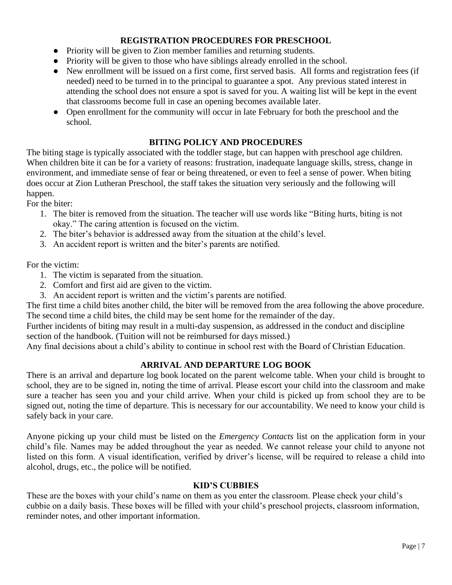#### **REGISTRATION PROCEDURES FOR PRESCHOOL**

- Priority will be given to Zion member families and returning students.
- Priority will be given to those who have siblings already enrolled in the school.
- New enrollment will be issued on a first come, first served basis. All forms and registration fees (if needed) need to be turned in to the principal to guarantee a spot. Any previous stated interest in attending the school does not ensure a spot is saved for you. A waiting list will be kept in the event that classrooms become full in case an opening becomes available later.
- Open enrollment for the community will occur in late February for both the preschool and the school.

#### **BITING POLICY AND PROCEDURES**

The biting stage is typically associated with the toddler stage, but can happen with preschool age children. When children bite it can be for a variety of reasons: frustration, inadequate language skills, stress, change in environment, and immediate sense of fear or being threatened, or even to feel a sense of power. When biting does occur at Zion Lutheran Preschool, the staff takes the situation very seriously and the following will happen.

For the biter:

- 1. The biter is removed from the situation. The teacher will use words like "Biting hurts, biting is not okay." The caring attention is focused on the victim.
- 2. The biter's behavior is addressed away from the situation at the child's level.
- 3. An accident report is written and the biter's parents are notified.

For the victim:

- 1. The victim is separated from the situation.
- 2. Comfort and first aid are given to the victim.
- 3. An accident report is written and the victim's parents are notified.

The first time a child bites another child, the biter will be removed from the area following the above procedure. The second time a child bites, the child may be sent home for the remainder of the day.

Further incidents of biting may result in a multi-day suspension, as addressed in the conduct and discipline section of the handbook. (Tuition will not be reimbursed for days missed.)

Any final decisions about a child's ability to continue in school rest with the Board of Christian Education.

#### **ARRIVAL AND DEPARTURE LOG BOOK**

There is an arrival and departure log book located on the parent welcome table. When your child is brought to school, they are to be signed in, noting the time of arrival. Please escort your child into the classroom and make sure a teacher has seen you and your child arrive. When your child is picked up from school they are to be signed out, noting the time of departure. This is necessary for our accountability. We need to know your child is safely back in your care.

Anyone picking up your child must be listed on the *Emergency Contacts* list on the application form in your child's file. Names may be added throughout the year as needed. We cannot release your child to anyone not listed on this form. A visual identification, verified by driver's license, will be required to release a child into alcohol, drugs, etc., the police will be notified.

#### **KID'S CUBBIES**

These are the boxes with your child's name on them as you enter the classroom. Please check your child's cubbie on a daily basis. These boxes will be filled with your child's preschool projects, classroom information, reminder notes, and other important information.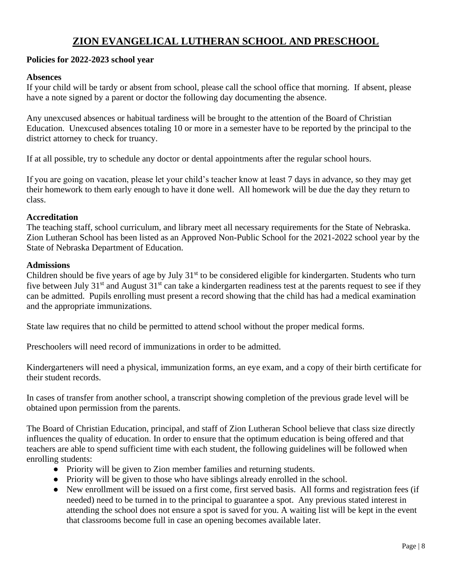### **ZION EVANGELICAL LUTHERAN SCHOOL AND PRESCHOOL**

#### **Policies for 2022-2023 school year**

#### **Absences**

If your child will be tardy or absent from school, please call the school office that morning. If absent, please have a note signed by a parent or doctor the following day documenting the absence.

Any unexcused absences or habitual tardiness will be brought to the attention of the Board of Christian Education. Unexcused absences totaling 10 or more in a semester have to be reported by the principal to the district attorney to check for truancy.

If at all possible, try to schedule any doctor or dental appointments after the regular school hours.

If you are going on vacation, please let your child's teacher know at least 7 days in advance, so they may get their homework to them early enough to have it done well. All homework will be due the day they return to class.

#### **Accreditation**

The teaching staff, school curriculum, and library meet all necessary requirements for the State of Nebraska. Zion Lutheran School has been listed as an Approved Non-Public School for the 2021-2022 school year by the State of Nebraska Department of Education.

#### **Admissions**

Children should be five years of age by July 31<sup>st</sup> to be considered eligible for kindergarten. Students who turn five between July  $31<sup>st</sup>$  and August  $31<sup>st</sup>$  can take a kindergarten readiness test at the parents request to see if they can be admitted. Pupils enrolling must present a record showing that the child has had a medical examination and the appropriate immunizations.

State law requires that no child be permitted to attend school without the proper medical forms.

Preschoolers will need record of immunizations in order to be admitted.

Kindergarteners will need a physical, immunization forms, an eye exam, and a copy of their birth certificate for their student records.

In cases of transfer from another school, a transcript showing completion of the previous grade level will be obtained upon permission from the parents.

The Board of Christian Education, principal, and staff of Zion Lutheran School believe that class size directly influences the quality of education. In order to ensure that the optimum education is being offered and that teachers are able to spend sufficient time with each student, the following guidelines will be followed when enrolling students:

- Priority will be given to Zion member families and returning students.
- Priority will be given to those who have siblings already enrolled in the school.
- New enrollment will be issued on a first come, first served basis. All forms and registration fees (if needed) need to be turned in to the principal to guarantee a spot. Any previous stated interest in attending the school does not ensure a spot is saved for you. A waiting list will be kept in the event that classrooms become full in case an opening becomes available later.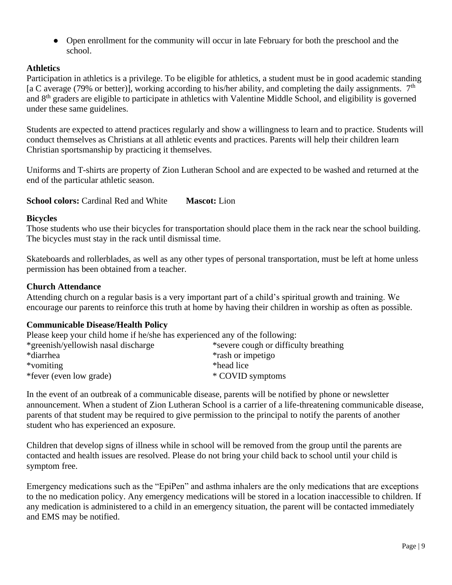• Open enrollment for the community will occur in late February for both the preschool and the school.

#### **Athletics**

Participation in athletics is a privilege. To be eligible for athletics, a student must be in good academic standing [a C average (79% or better)], working according to his/her ability, and completing the daily assignments.  $7<sup>th</sup>$ and  $8<sup>th</sup>$  graders are eligible to participate in athletics with Valentine Middle School, and eligibility is governed under these same guidelines.

Students are expected to attend practices regularly and show a willingness to learn and to practice. Students will conduct themselves as Christians at all athletic events and practices. Parents will help their children learn Christian sportsmanship by practicing it themselves.

Uniforms and T-shirts are property of Zion Lutheran School and are expected to be washed and returned at the end of the particular athletic season.

**School colors:** Cardinal Red and White **Mascot:** Lion

#### **Bicycles**

Those students who use their bicycles for transportation should place them in the rack near the school building. The bicycles must stay in the rack until dismissal time.

Skateboards and rollerblades, as well as any other types of personal transportation, must be left at home unless permission has been obtained from a teacher.

#### **Church Attendance**

Attending church on a regular basis is a very important part of a child's spiritual growth and training. We encourage our parents to reinforce this truth at home by having their children in worship as often as possible.

#### **Communicable Disease/Health Policy**

Please keep your child home if he/she has experienced any of the following: \*greenish/yellowish nasal discharge \*severe cough or difficulty breathing \*diarrhea \*rash or impetigo \*vomiting \*head lice \*fever (even low grade) \* COVID symptoms

In the event of an outbreak of a communicable disease, parents will be notified by phone or newsletter announcement. When a student of Zion Lutheran School is a carrier of a life-threatening communicable disease, parents of that student may be required to give permission to the principal to notify the parents of another student who has experienced an exposure.

Children that develop signs of illness while in school will be removed from the group until the parents are contacted and health issues are resolved. Please do not bring your child back to school until your child is symptom free.

Emergency medications such as the "EpiPen" and asthma inhalers are the only medications that are exceptions to the no medication policy. Any emergency medications will be stored in a location inaccessible to children. If any medication is administered to a child in an emergency situation, the parent will be contacted immediately and EMS may be notified.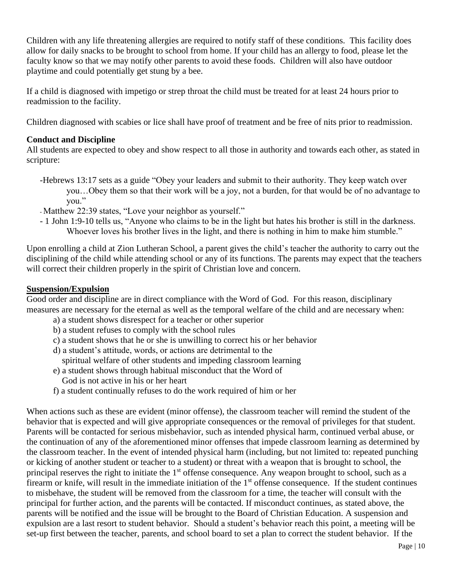Children with any life threatening allergies are required to notify staff of these conditions. This facility does allow for daily snacks to be brought to school from home. If your child has an allergy to food, please let the faculty know so that we may notify other parents to avoid these foods. Children will also have outdoor playtime and could potentially get stung by a bee.

If a child is diagnosed with impetigo or strep throat the child must be treated for at least 24 hours prior to readmission to the facility.

Children diagnosed with scabies or lice shall have proof of treatment and be free of nits prior to readmission.

#### **Conduct and Discipline**

All students are expected to obey and show respect to all those in authority and towards each other, as stated in scripture:

- -Hebrews 13:17 sets as a guide "Obey your leaders and submit to their authority. They keep watch over you…Obey them so that their work will be a joy, not a burden, for that would be of no advantage to you."
- Matthew 22:39 states, "Love your neighbor as yourself."
- 1 John 1:9-10 tells us, "Anyone who claims to be in the light but hates his brother is still in the darkness. Whoever loves his brother lives in the light, and there is nothing in him to make him stumble."

Upon enrolling a child at Zion Lutheran School, a parent gives the child's teacher the authority to carry out the disciplining of the child while attending school or any of its functions. The parents may expect that the teachers will correct their children properly in the spirit of Christian love and concern.

#### **Suspension/Expulsion**

Good order and discipline are in direct compliance with the Word of God. For this reason, disciplinary measures are necessary for the eternal as well as the temporal welfare of the child and are necessary when:

- a) a student shows disrespect for a teacher or other superior
- b) a student refuses to comply with the school rules
- c) a student shows that he or she is unwilling to correct his or her behavior
- d) a student's attitude, words, or actions are detrimental to the
- spiritual welfare of other students and impeding classroom learning
- e) a student shows through habitual misconduct that the Word of God is not active in his or her heart
- f) a student continually refuses to do the work required of him or her

When actions such as these are evident (minor offense), the classroom teacher will remind the student of the behavior that is expected and will give appropriate consequences or the removal of privileges for that student. Parents will be contacted for serious misbehavior, such as intended physical harm, continued verbal abuse, or the continuation of any of the aforementioned minor offenses that impede classroom learning as determined by the classroom teacher. In the event of intended physical harm (including, but not limited to: repeated punching or kicking of another student or teacher to a student) or threat with a weapon that is brought to school, the principal reserves the right to initiate the 1<sup>st</sup> offense consequence. Any weapon brought to school, such as a firearm or knife, will result in the immediate initiation of the  $1<sup>st</sup>$  offense consequence. If the student continues to misbehave, the student will be removed from the classroom for a time, the teacher will consult with the principal for further action, and the parents will be contacted. If misconduct continues, as stated above, the parents will be notified and the issue will be brought to the Board of Christian Education. A suspension and expulsion are a last resort to student behavior. Should a student's behavior reach this point, a meeting will be set-up first between the teacher, parents, and school board to set a plan to correct the student behavior. If the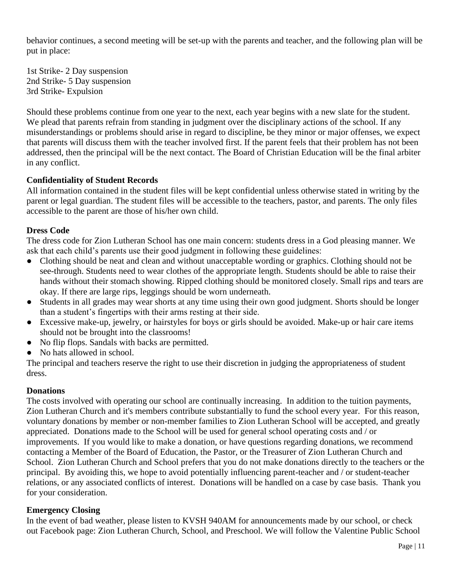behavior continues, a second meeting will be set-up with the parents and teacher, and the following plan will be put in place:

1st Strike- 2 Day suspension 2nd Strike- 5 Day suspension 3rd Strike- Expulsion

Should these problems continue from one year to the next, each year begins with a new slate for the student. We plead that parents refrain from standing in judgment over the disciplinary actions of the school. If any misunderstandings or problems should arise in regard to discipline, be they minor or major offenses, we expect that parents will discuss them with the teacher involved first. If the parent feels that their problem has not been addressed, then the principal will be the next contact. The Board of Christian Education will be the final arbiter in any conflict.

#### **Confidentiality of Student Records**

All information contained in the student files will be kept confidential unless otherwise stated in writing by the parent or legal guardian. The student files will be accessible to the teachers, pastor, and parents. The only files accessible to the parent are those of his/her own child.

#### **Dress Code**

The dress code for Zion Lutheran School has one main concern: students dress in a God pleasing manner. We ask that each child's parents use their good judgment in following these guidelines:

- Clothing should be neat and clean and without unacceptable wording or graphics. Clothing should not be see-through. Students need to wear clothes of the appropriate length. Students should be able to raise their hands without their stomach showing. Ripped clothing should be monitored closely. Small rips and tears are okay. If there are large rips, leggings should be worn underneath.
- Students in all grades may wear shorts at any time using their own good judgment. Shorts should be longer than a student's fingertips with their arms resting at their side.
- Excessive make-up, jewelry, or hairstyles for boys or girls should be avoided. Make-up or hair care items should not be brought into the classrooms!
- No flip flops. Sandals with backs are permitted.
- No hats allowed in school.

The principal and teachers reserve the right to use their discretion in judging the appropriateness of student dress.

#### **Donations**

The costs involved with operating our school are continually increasing. In addition to the tuition payments, Zion Lutheran Church and it's members contribute substantially to fund the school every year. For this reason, voluntary donations by member or non-member families to Zion Lutheran School will be accepted, and greatly appreciated. Donations made to the School will be used for general school operating costs and / or improvements. If you would like to make a donation, or have questions regarding donations, we recommend contacting a Member of the Board of Education, the Pastor, or the Treasurer of Zion Lutheran Church and School. Zion Lutheran Church and School prefers that you do not make donations directly to the teachers or the principal. By avoiding this, we hope to avoid potentially influencing parent-teacher and / or student-teacher relations, or any associated conflicts of interest. Donations will be handled on a case by case basis. Thank you for your consideration.

#### **Emergency Closing**

In the event of bad weather, please listen to KVSH 940AM for announcements made by our school, or check out Facebook page: Zion Lutheran Church, School, and Preschool. We will follow the Valentine Public School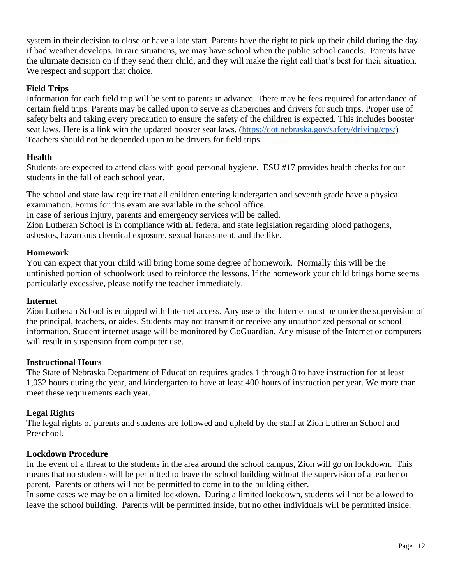system in their decision to close or have a late start. Parents have the right to pick up their child during the day if bad weather develops. In rare situations, we may have school when the public school cancels. Parents have the ultimate decision on if they send their child, and they will make the right call that's best for their situation. We respect and support that choice.

#### **Field Trips**

Information for each field trip will be sent to parents in advance. There may be fees required for attendance of certain field trips. Parents may be called upon to serve as chaperones and drivers for such trips. Proper use of safety belts and taking every precaution to ensure the safety of the children is expected. This includes booster seat laws. Here is a link with the updated booster seat laws. [\(https://dot.nebraska.gov/safety/driving/cps/\)](https://dot.nebraska.gov/safety/driving/cps/) Teachers should not be depended upon to be drivers for field trips.

#### **Health**

Students are expected to attend class with good personal hygiene. ESU #17 provides health checks for our students in the fall of each school year.

The school and state law require that all children entering kindergarten and seventh grade have a physical examination. Forms for this exam are available in the school office.

In case of serious injury, parents and emergency services will be called.

Zion Lutheran School is in compliance with all federal and state legislation regarding blood pathogens, asbestos, hazardous chemical exposure, sexual harassment, and the like.

#### **Homework**

You can expect that your child will bring home some degree of homework. Normally this will be the unfinished portion of schoolwork used to reinforce the lessons. If the homework your child brings home seems particularly excessive, please notify the teacher immediately.

#### **Internet**

Zion Lutheran School is equipped with Internet access. Any use of the Internet must be under the supervision of the principal, teachers, or aides. Students may not transmit or receive any unauthorized personal or school information. Student internet usage will be monitored by GoGuardian. Any misuse of the Internet or computers will result in suspension from computer use.

#### **Instructional Hours**

The State of Nebraska Department of Education requires grades 1 through 8 to have instruction for at least 1,032 hours during the year, and kindergarten to have at least 400 hours of instruction per year. We more than meet these requirements each year.

#### **Legal Rights**

The legal rights of parents and students are followed and upheld by the staff at Zion Lutheran School and Preschool.

#### **Lockdown Procedure**

In the event of a threat to the students in the area around the school campus, Zion will go on lockdown. This means that no students will be permitted to leave the school building without the supervision of a teacher or parent. Parents or others will not be permitted to come in to the building either.

In some cases we may be on a limited lockdown. During a limited lockdown, students will not be allowed to leave the school building. Parents will be permitted inside, but no other individuals will be permitted inside.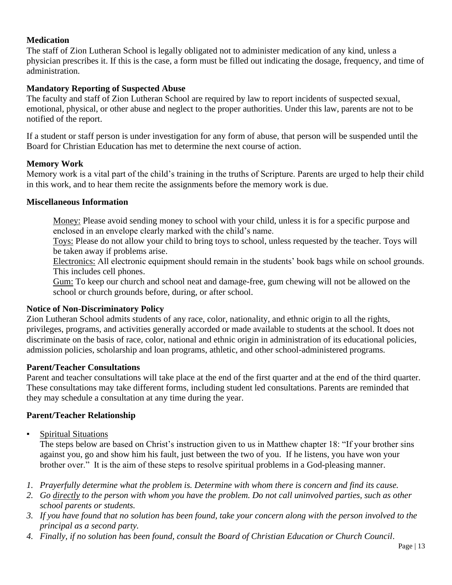#### **Medication**

The staff of Zion Lutheran School is legally obligated not to administer medication of any kind, unless a physician prescribes it. If this is the case, a form must be filled out indicating the dosage, frequency, and time of administration.

#### **Mandatory Reporting of Suspected Abuse**

The faculty and staff of Zion Lutheran School are required by law to report incidents of suspected sexual, emotional, physical, or other abuse and neglect to the proper authorities. Under this law, parents are not to be notified of the report.

If a student or staff person is under investigation for any form of abuse, that person will be suspended until the Board for Christian Education has met to determine the next course of action.

#### **Memory Work**

Memory work is a vital part of the child's training in the truths of Scripture. Parents are urged to help their child in this work, and to hear them recite the assignments before the memory work is due.

#### **Miscellaneous Information**

Money: Please avoid sending money to school with your child, unless it is for a specific purpose and enclosed in an envelope clearly marked with the child's name.

Toys: Please do not allow your child to bring toys to school, unless requested by the teacher. Toys will be taken away if problems arise.

Electronics: All electronic equipment should remain in the students' book bags while on school grounds. This includes cell phones.

Gum: To keep our church and school neat and damage-free, gum chewing will not be allowed on the school or church grounds before, during, or after school.

#### **Notice of Non-Discriminatory Policy**

Zion Lutheran School admits students of any race, color, nationality, and ethnic origin to all the rights, privileges, programs, and activities generally accorded or made available to students at the school. It does not discriminate on the basis of race, color, national and ethnic origin in administration of its educational policies, admission policies, scholarship and loan programs, athletic, and other school-administered programs.

#### **Parent/Teacher Consultations**

Parent and teacher consultations will take place at the end of the first quarter and at the end of the third quarter. These consultations may take different forms, including student led consultations. Parents are reminded that they may schedule a consultation at any time during the year.

#### **Parent/Teacher Relationship**

▪ Spiritual Situations

The steps below are based on Christ's instruction given to us in Matthew chapter 18: "If your brother sins against you, go and show him his fault, just between the two of you. If he listens, you have won your brother over." It is the aim of these steps to resolve spiritual problems in a God-pleasing manner.

- *1. Prayerfully determine what the problem is. Determine with whom there is concern and find its cause.*
- *2. Go directly to the person with whom you have the problem. Do not call uninvolved parties, such as other school parents or students.*
- *3. If you have found that no solution has been found, take your concern along with the person involved to the principal as a second party.*
- *4. Finally, if no solution has been found, consult the Board of Christian Education or Church Council*.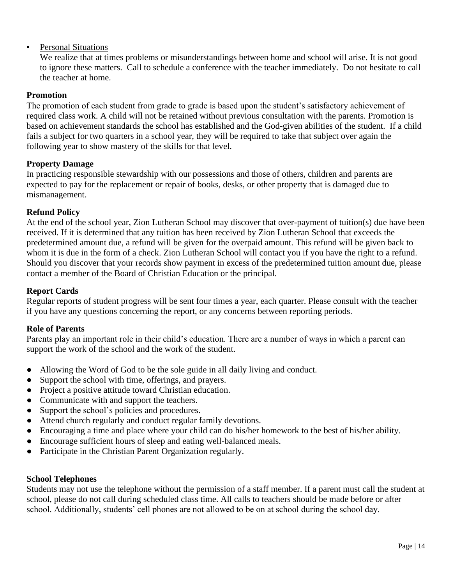#### **•** Personal Situations

We realize that at times problems or misunderstandings between home and school will arise. It is not good to ignore these matters. Call to schedule a conference with the teacher immediately. Do not hesitate to call the teacher at home.

#### **Promotion**

The promotion of each student from grade to grade is based upon the student's satisfactory achievement of required class work. A child will not be retained without previous consultation with the parents. Promotion is based on achievement standards the school has established and the God-given abilities of the student. If a child fails a subject for two quarters in a school year, they will be required to take that subject over again the following year to show mastery of the skills for that level.

#### **Property Damage**

In practicing responsible stewardship with our possessions and those of others, children and parents are expected to pay for the replacement or repair of books, desks, or other property that is damaged due to mismanagement.

#### **Refund Policy**

At the end of the school year, Zion Lutheran School may discover that over-payment of tuition(s) due have been received. If it is determined that any tuition has been received by Zion Lutheran School that exceeds the predetermined amount due, a refund will be given for the overpaid amount. This refund will be given back to whom it is due in the form of a check. Zion Lutheran School will contact you if you have the right to a refund. Should you discover that your records show payment in excess of the predetermined tuition amount due, please contact a member of the Board of Christian Education or the principal.

#### **Report Cards**

Regular reports of student progress will be sent four times a year, each quarter. Please consult with the teacher if you have any questions concerning the report, or any concerns between reporting periods.

#### **Role of Parents**

Parents play an important role in their child's education. There are a number of ways in which a parent can support the work of the school and the work of the student.

- Allowing the Word of God to be the sole guide in all daily living and conduct.
- Support the school with time, offerings, and prayers.
- Project a positive attitude toward Christian education.
- Communicate with and support the teachers.
- Support the school's policies and procedures.
- Attend church regularly and conduct regular family devotions.
- Encouraging a time and place where your child can do his/her homework to the best of his/her ability.
- Encourage sufficient hours of sleep and eating well-balanced meals.
- Participate in the Christian Parent Organization regularly.

#### **School Telephones**

Students may not use the telephone without the permission of a staff member. If a parent must call the student at school, please do not call during scheduled class time. All calls to teachers should be made before or after school. Additionally, students' cell phones are not allowed to be on at school during the school day.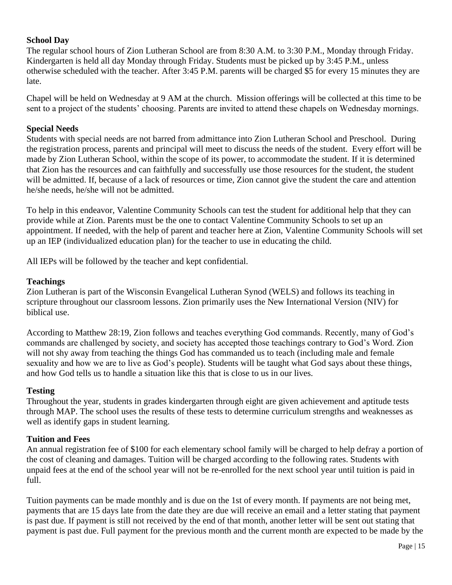#### **School Day**

The regular school hours of Zion Lutheran School are from 8:30 A.M. to 3:30 P.M., Monday through Friday. Kindergarten is held all day Monday through Friday. Students must be picked up by 3:45 P.M., unless otherwise scheduled with the teacher. After 3:45 P.M. parents will be charged \$5 for every 15 minutes they are late.

Chapel will be held on Wednesday at 9 AM at the church. Mission offerings will be collected at this time to be sent to a project of the students' choosing. Parents are invited to attend these chapels on Wednesday mornings.

#### **Special Needs**

Students with special needs are not barred from admittance into Zion Lutheran School and Preschool. During the registration process, parents and principal will meet to discuss the needs of the student. Every effort will be made by Zion Lutheran School, within the scope of its power, to accommodate the student. If it is determined that Zion has the resources and can faithfully and successfully use those resources for the student, the student will be admitted. If, because of a lack of resources or time, Zion cannot give the student the care and attention he/she needs, he/she will not be admitted.

To help in this endeavor, Valentine Community Schools can test the student for additional help that they can provide while at Zion. Parents must be the one to contact Valentine Community Schools to set up an appointment. If needed, with the help of parent and teacher here at Zion, Valentine Community Schools will set up an IEP (individualized education plan) for the teacher to use in educating the child.

All IEPs will be followed by the teacher and kept confidential.

#### **Teachings**

Zion Lutheran is part of the Wisconsin Evangelical Lutheran Synod (WELS) and follows its teaching in scripture throughout our classroom lessons. Zion primarily uses the New International Version (NIV) for biblical use.

According to Matthew 28:19, Zion follows and teaches everything God commands. Recently, many of God's commands are challenged by society, and society has accepted those teachings contrary to God's Word. Zion will not shy away from teaching the things God has commanded us to teach (including male and female sexuality and how we are to live as God's people). Students will be taught what God says about these things, and how God tells us to handle a situation like this that is close to us in our lives.

#### **Testing**

Throughout the year, students in grades kindergarten through eight are given achievement and aptitude tests through MAP. The school uses the results of these tests to determine curriculum strengths and weaknesses as well as identify gaps in student learning.

#### **Tuition and Fees**

An annual registration fee of \$100 for each elementary school family will be charged to help defray a portion of the cost of cleaning and damages. Tuition will be charged according to the following rates. Students with unpaid fees at the end of the school year will not be re-enrolled for the next school year until tuition is paid in full.

Tuition payments can be made monthly and is due on the 1st of every month. If payments are not being met, payments that are 15 days late from the date they are due will receive an email and a letter stating that payment is past due. If payment is still not received by the end of that month, another letter will be sent out stating that payment is past due. Full payment for the previous month and the current month are expected to be made by the